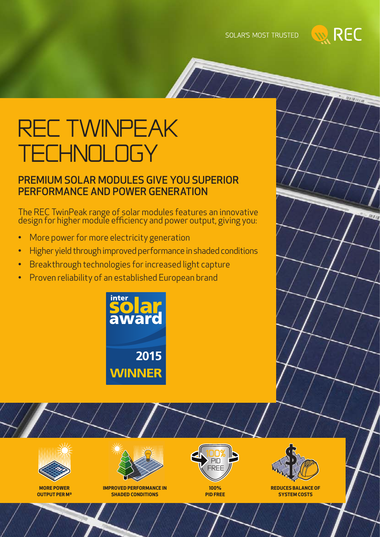SOLAR'S MOST TRUSTED

 $\sqrt{T}$ 



Maraccio

# rec TwinPeak **ECHNOLOGY**

### PREMIUM SOLAR MODULES GIVE YOU SUPERIOR PERFORMANCE AND POWER GENERATION

The REC TwinPeak range of solar modules features an innovative design for higher module efficiency and power output, giving you:

- More power for more electricity generation
- Higher yield through improved performance in shaded conditions
- • Breakthrough technologies for increased light capture
- Proven reliability of an established European brand





**IMPROVED PERFORMANCE IN SHADED CONDITIONS**



**100% PID FREE**



**REDUCES BALANCE OF SYSTEM COSTS**